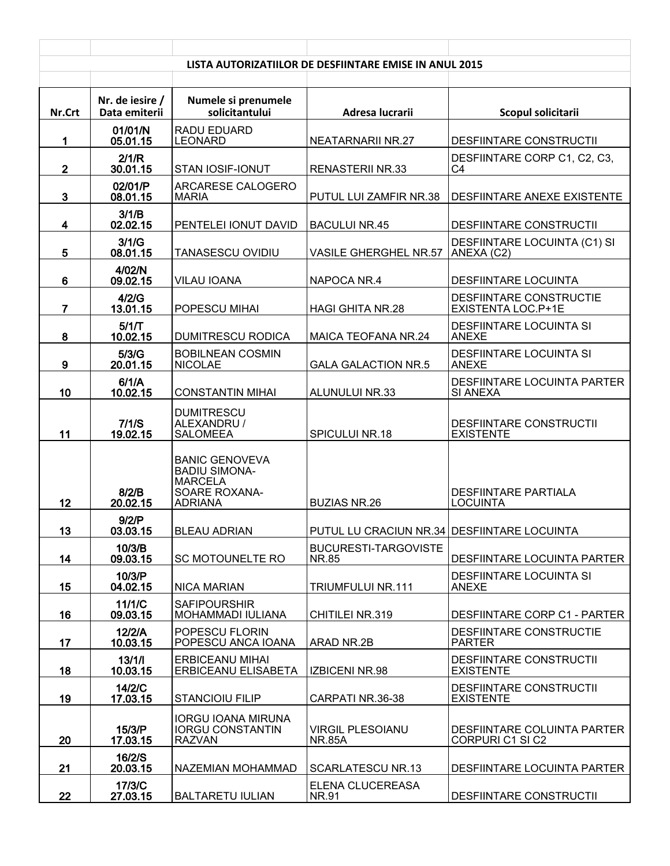| LISTA AUTORIZATIILOR DE DESFIINTARE EMISE IN ANUL 2015 |                                  |                                                                                                    |                                             |                                                      |
|--------------------------------------------------------|----------------------------------|----------------------------------------------------------------------------------------------------|---------------------------------------------|------------------------------------------------------|
| Nr.Crt                                                 | Nr. de iesire /<br>Data emiterii | Numele si prenumele<br>solicitantului                                                              | Adresa lucrarii                             | Scopul solicitarii                                   |
| 1                                                      | 01/01/N<br>05.01.15              | RADU EDUARD<br><b>LEONARD</b>                                                                      | <b>NEATARNARII NR.27</b>                    | <b>DESFIINTARE CONSTRUCTII</b>                       |
|                                                        | 2/1/R                            |                                                                                                    |                                             | DESFIINTARE CORP C1, C2, C3,                         |
| $\overline{2}$                                         | 30.01.15<br>02/01/P              | STAN IOSIF-IONUT<br>ARCARESE CALOGERO                                                              | <b>RENASTERII NR.33</b>                     | C <sub>4</sub>                                       |
| $\mathbf{3}$                                           | 08.01.15                         | <b>MARIA</b>                                                                                       | PUTUL LUI ZAMFIR NR.38                      | DESFIINTARE ANEXE EXISTENTE                          |
| $\overline{\mathbf{4}}$                                | 3/1/B<br>02.02.15                | PENTELEI IONUT DAVID                                                                               | <b>BACULUI NR.45</b>                        | <b>DESFIINTARE CONSTRUCTII</b>                       |
| 5                                                      | 3/1/G<br>08.01.15                | TANASESCU OVIDIU                                                                                   | VASILE GHERGHEL NR.57                       | DESFIINTARE LOCUINTA (C1) SI<br>ANEXA (C2)           |
| 6                                                      | 4/02/N<br>09.02.15               | <b>VILAU IOANA</b>                                                                                 | NAPOCA NR.4                                 | <b>DESFIINTARE LOCUINTA</b>                          |
| $\overline{7}$                                         | 4/2/G<br>13.01.15                | <b>POPESCU MIHAI</b>                                                                               | <b>HAGI GHITA NR.28</b>                     | <b>DESFIINTARE CONSTRUCTIE</b><br>EXISTENTA LOC.P+1E |
| 8                                                      | 5/1/T<br>10.02.15                | <b>DUMITRESCU RODICA</b>                                                                           | <b>MAICA TEOFANA NR.24</b>                  | <b>DESFIINTARE LOCUINTA SI</b><br><b>ANEXE</b>       |
| 9                                                      | 5/3/G<br>20.01.15                | <b>BOBILNEAN COSMIN</b><br><b>NICOLAE</b>                                                          | <b>GALA GALACTION NR.5</b>                  | <b>DESFIINTARE LOCUINTA SI</b><br><b>ANEXE</b>       |
| 10                                                     | 6/1/A<br>10.02.15                | <b>CONSTANTIN MIHAI</b>                                                                            | ALUNULUI NR.33                              | <b>DESFIINTARE LOCUINTA PARTER</b><br>SI ANEXA       |
| 11                                                     | 7/1/S<br>19.02.15                | <b>DUMITRESCU</b><br>ALEXANDRU /<br><b>SALOMEEA</b>                                                | SPICULUI NR.18                              | <b>DESFIINTARE CONSTRUCTII</b><br><b>EXISTENTE</b>   |
| 12                                                     | 8/2/B<br>20.02.15                | <b>BANIC GENOVEVA</b><br><b>BADIU SIMONA-</b><br><b>MARCELA</b><br>SOARE ROXANA-<br><b>ADRIANA</b> | <b>BUZIAS NR.26</b>                         | <b>DESFIINTARE PARTIALA</b><br><b>LOCUINTA</b>       |
| 13                                                     | 9/2/P<br>03.03.15                | <b>BLEAU ADRIAN</b>                                                                                | PUTUL LU CRACIUN NR.34 DESFIINTARE LOCUINTA |                                                      |
| 14                                                     | 10/3/B<br>09.03.15               | SC MOTOUNELTE RO                                                                                   | <b>BUCURESTI-TARGOVISTE</b><br><b>NR.85</b> | DESFIINTARE LOCUINTA PARTER                          |
| 15                                                     | 10/3/P<br>04.02.15               | <b>NICA MARIAN</b>                                                                                 | TRIUMFULUI NR.111                           | <b>DESFIINTARE LOCUINTA SI</b><br><b>ANEXE</b>       |
| 16                                                     | 11/1/C<br>09.03.15               | <b>SAFIPOURSHIR</b><br>MOHAMMADI IULIANA                                                           | CHITILEI NR.319                             | DESFIINTARE CORP C1 - PARTER                         |
| 17                                                     | 12/2/A<br>10.03.15               | POPESCU FLORIN<br>POPESCU ANCA IOANA                                                               | ARAD NR.2B                                  | DESFIINTARE CONSTRUCTIE<br><b>PARTER</b>             |
| 18                                                     | 13/1/1<br>10.03.15               | <b>ERBICEANU MIHAI</b><br>ERBICEANU ELISABETA                                                      | <b>IZBICENI NR.98</b>                       | <b>DESFIINTARE CONSTRUCTII</b><br><b>EXISTENTE</b>   |
| 19                                                     | 14/2/C<br>17.03.15               | <b>STANCIOIU FILIP</b>                                                                             | CARPATI NR.36-38                            | <b>DESFIINTARE CONSTRUCTII</b><br><b>EXISTENTE</b>   |
| 20                                                     | 15/3/P<br>17.03.15               | <b>IORGU IOANA MIRUNA</b><br><b>IORGU CONSTANTIN</b><br><b>RAZVAN</b>                              | <b>VIRGIL PLESOIANU</b><br><b>NR.85A</b>    | DESFIINTARE COLUINTA PARTER<br>CORPURI C1 SI C2      |
| 21                                                     | 16/2/S<br>20.03.15               | NAZEMIAN MOHAMMAD                                                                                  | <b>SCARLATESCU NR.13</b>                    | DESFIINTARE LOCUINTA PARTER                          |
| 22                                                     | 17/3/C<br>27.03.15               | <b>BALTARETU IULIAN</b>                                                                            | ELENA CLUCEREASA<br>NR.91                   | DESFIINTARE CONSTRUCTII                              |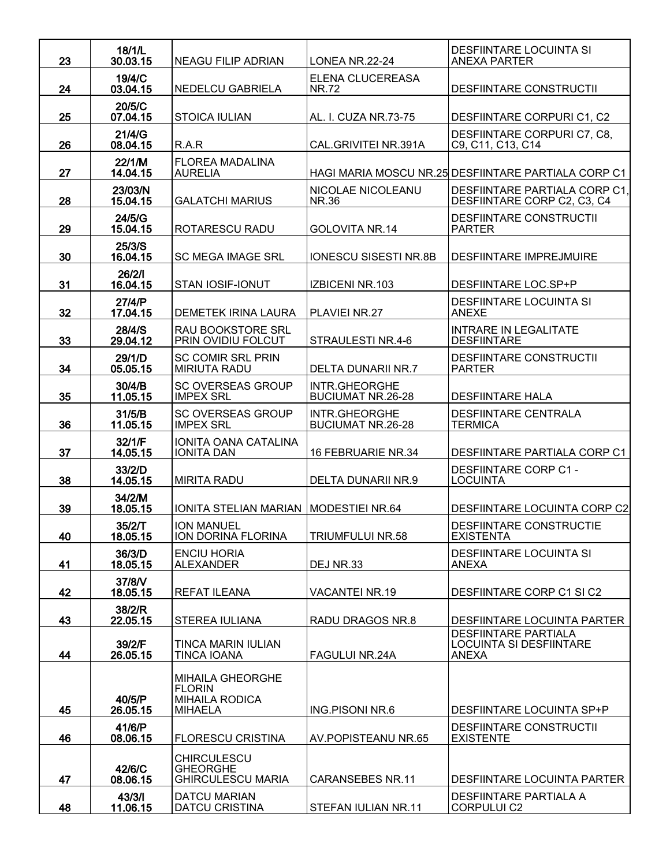| 23 | 18/1/L<br>30.03.15  | <b>NEAGU FILIP ADRIAN</b>                                | LONEA NR.22-24                            | <b>DESFIINTARE LOCUINTA SI</b><br><b>ANEXA PARTER</b>                         |
|----|---------------------|----------------------------------------------------------|-------------------------------------------|-------------------------------------------------------------------------------|
| 24 | 19/4/C<br>03.04.15  | NEDELCU GABRIELA                                         | ELENA CLUCEREASA<br><b>NR.72</b>          | <b>DESFIINTARE CONSTRUCTII</b>                                                |
| 25 | 20/5/C<br>07.04.15  | <b>STOICA IULIAN</b>                                     | AL. I. CUZA NR.73-75                      | DESFIINTARE CORPURI C1, C2                                                    |
| 26 | 21/4/G<br>08.04.15  | R.A.R                                                    | CAL.GRIVITEI NR.391A                      | DESFIINTARE CORPURI C7, C8,<br>C9, C11, C13, C14                              |
| 27 | 22/1/M<br>14.04.15  | <b>FLOREA MADALINA</b><br><b>AURELIA</b>                 |                                           | HAGI MARIA MOSCU NR.25 DESFIINTARE PARTIALA CORP C1                           |
| 28 | 23/03/N<br>15.04.15 | <b>GALATCHI MARIUS</b>                                   | NICOLAE NICOLEANU<br>NR.36                | DESFIINTARE PARTIALA CORP C1,<br>DESFIINTARE CORP C2, C3, C4                  |
| 29 | 24/5/G<br>15.04.15  | ROTARESCU RADU                                           | GOLOVITA NR.14                            | <b>DESFIINTARE CONSTRUCTII</b><br><b>PARTER</b>                               |
| 30 | 25/3/S<br>16.04.15  | <b>SC MEGA IMAGE SRL</b>                                 | <b>IONESCU SISESTI NR.8B</b>              | <b>DESFIINTARE IMPREJMUIRE</b>                                                |
| 31 | 26/2/1<br>16.04.15  | STAN IOSIF-IONUT                                         | IZBICENI NR.103                           | DESFIINTARE LOC.SP+P                                                          |
| 32 | 27/4/P<br>17.04.15  | <b>DEMETEK IRINA LAURA</b>                               | PLAVIEI NR.27                             | <b>DESFIINTARE LOCUINTA SI</b><br><b>ANEXE</b>                                |
| 33 | 28/4/S<br>29.04.12  | RAU BOOKSTORE SRL<br>PRIN OVIDIU FOLCUT                  | STRAULESTI NR.4-6                         | <b>INTRARE IN LEGALITATE</b><br><b>DESFIINTARE</b>                            |
| 34 | 29/1/D<br>05.05.15  | <b>SC COMIR SRL PRIN</b><br><b>MIRIUTA RADU</b>          | <b>DELTA DUNARII NR.7</b>                 | <b>DESFIINTARE CONSTRUCTII</b><br><b>PARTER</b>                               |
| 35 | 30/4/B<br>11.05.15  | <b>SC OVERSEAS GROUP</b><br><b>IMPEX SRL</b>             | INTR.GHEORGHE<br><b>BUCIUMAT NR.26-28</b> | <b>DESFIINTARE HALA</b>                                                       |
| 36 | 31/5/B<br>11.05.15  | <b>SC OVERSEAS GROUP</b><br><b>IMPEX SRL</b>             | INTR.GHEORGHE<br><b>BUCIUMAT NR.26-28</b> | <b>DESFIINTARE CENTRALA</b><br><b>TERMICA</b>                                 |
| 37 | 32/1/F<br>14.05.15  | <b>IONITA OANA CATALINA</b><br><b>IONITA DAN</b>         | 16 FEBRUARIE NR.34                        | DESFIINTARE PARTIALA CORP C1                                                  |
| 38 | 33/2/D<br>14.05.15  | <b>MIRITA RADU</b>                                       | <b>DELTA DUNARII NR.9</b>                 | <b>DESFIINTARE CORP C1 -</b><br><b>LOCUINTA</b>                               |
| 39 | 34/2/M<br>18.05.15  | IONITA STELIAN MARIAN MODESTIEI NR.64                    |                                           | <b>DESFIINTARE LOCUINTA CORP C2</b>                                           |
| 40 | 35/2/T<br>18.05.15  | <b>ION MANUEL</b><br>ION DORINA FLORINA                  | TRIUMFULUI NR.58                          | <b>DESFIINTARE CONSTRUCTIE</b><br><b>EXISTENTA</b>                            |
| 41 | 36/3/D<br>18.05.15  | <b>ENCIU HORIA</b><br><b>ALEXANDER</b>                   | DEJ NR.33                                 | DESFIINTARE LOCUINTA SI<br>ANEXA                                              |
| 42 | 37/8/V<br>18.05.15  | <b>REFAT ILEANA</b>                                      | <b>VACANTEI NR.19</b>                     | DESFIINTARE CORP C1 SI C2                                                     |
| 43 | 38/2/R<br>22.05.15  | STEREA IULIANA                                           | RADU DRAGOS NR.8                          | DESFIINTARE LOCUINTA PARTER                                                   |
| 44 | 39/2/F<br>26.05.15  | <b>TINCA MARIN IULIAN</b><br>TINCA IOANA                 | FAGULUI NR.24A                            | <b>DESFIINTARE PARTIALA</b><br><b>LOCUINTA SI DESFIINTARE</b><br><b>ANEXA</b> |
|    |                     | MIHAILA GHEORGHE                                         |                                           |                                                                               |
| 45 | 40/5/P<br>26.05.15  | <b>FLORIN</b><br><b>MIHAILA RODICA</b><br><b>MIHAELA</b> | ING.PISONI NR.6                           | DESFIINTARE LOCUINTA SP+P                                                     |
| 46 | 41/6/P<br>08.06.15  | <b>FLORESCU CRISTINA</b>                                 | AV.POPISTEANU NR.65                       | <b>DESFIINTARE CONSTRUCTII</b><br><b>EXISTENTE</b>                            |
|    | 42/6/C              | <b>CHIRCULESCU</b><br><b>GHEORGHE</b>                    |                                           |                                                                               |
| 47 | 08.06.15<br>43/3/1  | <b>GHIRCULESCU MARIA</b><br><b>DATCU MARIAN</b>          | <b>CARANSEBES NR.11</b>                   | DESFIINTARE LOCUINTA PARTER<br><b>DESFIINTARE PARTIALA A</b>                  |
| 48 | 11.06.15            | <b>DATCU CRISTINA</b>                                    | STEFAN IULIAN NR.11                       | <b>CORPULUI C2</b>                                                            |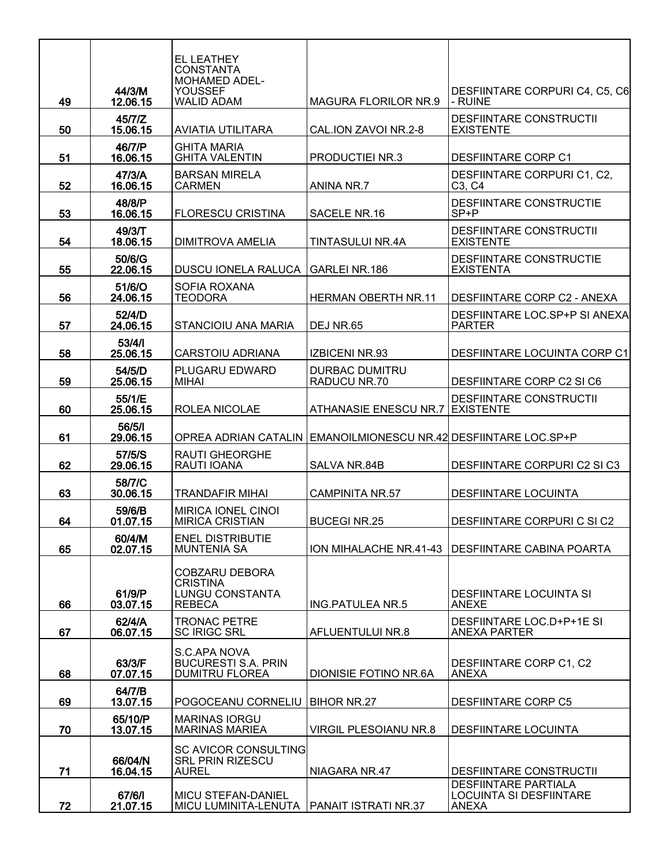| 49 | 44/3/M<br>12.06.15  | EL LEATHEY<br><b>CONSTANTA</b><br><b>MOHAMED ADEL-</b><br>YOUSSEF<br><b>WALID ADAM</b> | <b>MAGURA FLORILOR NR.9</b>                                     | DESFIINTARE CORPURI C4, C5, C6<br>- RUINE                              |
|----|---------------------|----------------------------------------------------------------------------------------|-----------------------------------------------------------------|------------------------------------------------------------------------|
| 50 | 45/7/Z<br>15.06.15  | AVIATIA UTILITARA                                                                      | CAL.ION ZAVOI NR.2-8                                            | <b>DESFIINTARE CONSTRUCTII</b><br><b>EXISTENTE</b>                     |
| 51 | 46/7/P<br>16.06.15  | <b>GHITA MARIA</b><br><b>GHITA VALENTIN</b>                                            | PRODUCTIEI NR.3                                                 | <b>DESFIINTARE CORP C1</b>                                             |
| 52 | 47/3/A<br>16.06.15  | <b>BARSAN MIRELA</b><br><b>CARMEN</b>                                                  | ANINA NR.7                                                      | DESFIINTARE CORPURI C1, C2,<br>C <sub>3</sub> , C <sub>4</sub>         |
| 53 | 48/8/P<br>16.06.15  | <b>FLORESCU CRISTINA</b>                                                               | SACELE NR.16                                                    | DESFIINTARE CONSTRUCTIE<br>$SP + P$                                    |
| 54 | 49/3/T<br>18.06.15  | <b>DIMITROVA AMELIA</b>                                                                | TINTASULUI NR.4A                                                | <b>DESFIINTARE CONSTRUCTII</b><br><b>EXISTENTE</b>                     |
| 55 | 50/6/G<br>22.06.15  | DUSCU IONELA RALUCA GARLEI NR.186                                                      |                                                                 | DESFIINTARE CONSTRUCTIE<br><b>EXISTENTA</b>                            |
| 56 | 51/6/O<br>24.06.15  | SOFIA ROXANA<br><b>TEODORA</b>                                                         | <b>HERMAN OBERTH NR.11</b>                                      | DESFIINTARE CORP C2 - ANEXA                                            |
| 57 | 52/4/D<br>24.06.15  | STANCIOIU ANA MARIA                                                                    | DEJ NR.65                                                       | DESFIINTARE LOC.SP+P SI ANEXA<br>PARTER                                |
| 58 | 53/4/1<br>25.06.15  | CARSTOIU ADRIANA                                                                       | <b>IZBICENI NR.93</b>                                           | DESFIINTARE LOCUINTA CORP C1                                           |
| 59 | 54/5/D<br>25.06.15  | PLUGARU EDWARD<br><b>MIHAI</b>                                                         | <b>DURBAC DUMITRU</b><br>RADUCU NR.70                           | DESFIINTARE CORP C2 SI C6                                              |
| 60 | 55/1/E<br>25.06.15  | ROLEA NICOLAE                                                                          | ATHANASIE ENESCU NR.7 EXISTENTE                                 | <b>DESFIINTARE CONSTRUCTII</b>                                         |
| 61 | 56/5/1<br>29.06.15  |                                                                                        | OPREA ADRIAN CATALIN EMANOILMIONESCU NR.42 DESFIINTARE LOC.SP+P |                                                                        |
| 62 | 57/5/S<br>29.06.15  | <b>RAUTI GHEORGHE</b><br>RAUTI IOANA                                                   | SALVA NR.84B                                                    | DESFIINTARE CORPURI C2 SI C3                                           |
| 63 | 58/7/C<br>30.06.15  | TRANDAFIR MIHAI                                                                        | <b>CAMPINITA NR.57</b>                                          | <b>DESFIINTARE LOCUINTA</b>                                            |
| 64 | 59/6/B<br>01.07.15  | <b>MIRICA IONEL CINOL</b><br><b>MIRICA CRISTIAN</b>                                    | <b>BUCEGI NR.25</b>                                             | DESFIINTARE CORPURI C SI C2                                            |
| 65 | 60/4/M<br>02.07.15  | <b>ENEL DISTRIBUTIE</b><br><b>MUNTENIA SA</b>                                          |                                                                 | ION MIHALACHE NR.41-43   DESFIINTARE CABINA POARTA                     |
| 66 | 61/9/P<br>03.07.15  | <b>COBZARU DEBORA</b><br><b>CRISTINA</b><br><b>LUNGU CONSTANTA</b><br><b>REBECA</b>    | <b>ING.PATULEA NR.5</b>                                         | DESFIINTARE LOCUINTA SI<br><b>ANEXE</b>                                |
| 67 | 62/4/A<br>06.07.15  | <b>TRONAC PETRE</b><br><b>SC IRIGC SRL</b>                                             | AFLUENTULUI NR.8                                                | DESFIINTARE LOC.D+P+1E SI<br><b>ANEXA PARTER</b>                       |
| 68 | 63/3/F<br>07.07.15  | S.C.APA NOVA<br><b>BUCURESTI S.A. PRIN</b><br><b>DUMITRU FLOREA</b>                    | DIONISIE FOTINO NR.6A                                           | DESFIINTARE CORP C1, C2<br>ANEXA                                       |
| 69 | 64/7/B<br>13.07.15  | POGOCEANU CORNELIU   BIHOR NR.27                                                       |                                                                 | <b>DESFIINTARE CORP C5</b>                                             |
| 70 | 65/10/P<br>13.07.15 | <b>MARINAS IORGU</b><br><b>MARINAS MARIEA</b>                                          | <b>VIRGIL PLESOIANU NR.8</b>                                    | <b>DESFIINTARE LOCUINTA</b>                                            |
| 71 | 66/04/N<br>16.04.15 | SC AVICOR CONSULTING<br><b>SRL PRIN RIZESCU</b><br><b>AUREL</b>                        | NIAGARA NR.47                                                   | DESFIINTARE CONSTRUCTII                                                |
| 72 | 67/6/1<br>21.07.15  | <b>MICU STEFAN-DANIEL</b><br>MICU LUMINITA-LENUTA                                      | <b>PANAIT ISTRATI NR.37</b>                                     | <b>DESFIINTARE PARTIALA</b><br>LOCUINTA SI DESFIINTARE<br><b>ANEXA</b> |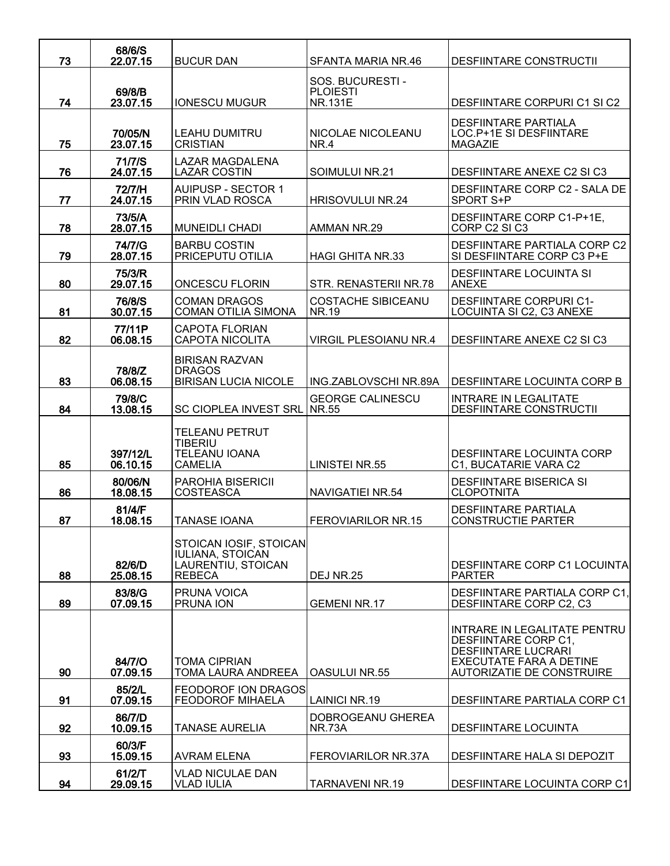|    | 68/6/S               |                                                                                          |                                                       |                                                                                                                                                   |
|----|----------------------|------------------------------------------------------------------------------------------|-------------------------------------------------------|---------------------------------------------------------------------------------------------------------------------------------------------------|
| 73 | 22.07.15             | <b>BUCUR DAN</b>                                                                         | SFANTA MARIA NR.46                                    | <b>DESFIINTARE CONSTRUCTII</b>                                                                                                                    |
| 74 | 69/8/B<br>23.07.15   | <b>IONESCU MUGUR</b>                                                                     | SOS. BUCURESTI -<br><b>PLOIESTI</b><br><b>NR.131E</b> | DESFIINTARE CORPURI C1 SI C2                                                                                                                      |
| 75 | 70/05/N<br>23.07.15  | LEAHU DUMITRU<br><b>CRISTIAN</b>                                                         | NICOLAE NICOLEANU<br>NR.4                             | <b>DESFIINTARE PARTIALA</b><br>LOC.P+1E SI DESFIINTARE<br><b>MAGAZIE</b>                                                                          |
| 76 | 71/7/S<br>24.07.15   | <b>LAZAR MAGDALENA</b><br><b>LAZAR COSTIN</b>                                            | SOIMULUI NR.21                                        | <b>DESFIINTARE ANEXE C2 SI C3</b>                                                                                                                 |
| 77 | 72/7/H<br>24.07.15   | <b>AUIPUSP - SECTOR 1</b><br>PRIN VLAD ROSCA                                             | <b>HRISOVULUI NR.24</b>                               | DESFIINTARE CORP C2 - SALA DE<br>SPORT S+P                                                                                                        |
| 78 | 73/5/A<br>28.07.15   | <b>MUNEIDLI CHADI</b>                                                                    | AMMAN NR.29                                           | DESFIINTARE CORP C1-P+1E,<br>CORP C2 SI C3                                                                                                        |
| 79 | 74/7/G<br>28.07.15   | <b>BARBU COSTIN</b><br>PRICEPUTU OTILIA                                                  | <b>HAGI GHITA NR.33</b>                               | DESFIINTARE PARTIALA CORP C2<br>SI DESFIINTARE CORP C3 P+E                                                                                        |
| 80 | 75/3/R<br>29.07.15   | <b>ONCESCU FLORIN</b>                                                                    | STR. RENASTERII NR.78                                 | <b>DESFIINTARE LOCUINTA SI</b><br><b>ANEXE</b>                                                                                                    |
| 81 | 76/8/S<br>30.07.15   | <b>COMAN DRAGOS</b><br><b>COMAN OTILIA SIMONA</b>                                        | <b>COSTACHE SIBICEANU</b><br>NR.19                    | <b>DESFIINTARE CORPURI C1-</b><br>LOCUINTA SI C2, C3 ANEXE                                                                                        |
| 82 | 77/11P<br>06.08.15   | <b>CAPOTA FLORIAN</b><br><b>CAPOTA NICOLITA</b>                                          | <b>VIRGIL PLESOIANU NR.4</b>                          | DESFIINTARE ANEXE C2 SI C3                                                                                                                        |
| 83 | 78/8/Z<br>06.08.15   | <b>BIRISAN RAZVAN</b><br><b>DRAGOS</b><br><b>BIRISAN LUCIA NICOLE</b>                    | ING.ZABLOVSCHI NR.89A                                 | <b>DESFIINTARE LOCUINTA CORP B</b>                                                                                                                |
| 84 | 79/8/C<br>13.08.15   | SC CIOPLEA INVEST SRL NR.55                                                              | <b>GEORGE CALINESCU</b>                               | <b>INTRARE IN LEGALITATE</b><br>DESFIINTARE CONSTRUCTII                                                                                           |
| 85 | 397/12/L<br>06.10.15 | <b>TELEANU PETRUT</b><br><b>TIBERIU</b><br><b>TELEANU IOANA</b><br><b>CAMELIA</b>        | <b>LINISTEI NR.55</b>                                 | DESFIINTARE LOCUINTA CORP<br>C1, BUCATARIE VARA C2                                                                                                |
| 86 | 80/06/N<br>18.08.15  | <b>PAROHIA BISERICII</b><br><b>COSTEASCA</b>                                             | NAVIGATIEI NR.54                                      | <b>DESFIINTARE BISERICA SI</b><br><b>CLOPOTNITA</b>                                                                                               |
| 87 | 81/4/F<br>18.08.15   | <b>TANASE IOANA</b>                                                                      | <b>FEROVIARILOR NR.15</b>                             | <b>DESFIINTARE PARTIALA</b><br><b>CONSTRUCTIE PARTER</b>                                                                                          |
| 88 | 82/6/D<br>25.08.15   | STOICAN IOSIF, STOICAN<br><b>IULIANA, STOICAN</b><br>LAURENTIU, STOICAN<br><b>REBECA</b> | <b>DEJ NR.25</b>                                      | DESFIINTARE CORP C1 LOCUINTAL<br><b>PARTER</b>                                                                                                    |
| 89 | 83/8/G<br>07.09.15   | <b>PRUNA VOICA</b><br><b>PRUNA ION</b>                                                   | <b>GEMENI NR.17</b>                                   | DESFIINTARE PARTIALA CORP C1.<br>DESFIINTARE CORP C2, C3                                                                                          |
| 90 | 84/7/Q<br>07.09.15   | TOMA CIPRIAN<br>TOMA LAURA ANDREEA                                                       | <b>OASULUI NR.55</b>                                  | INTRARE IN LEGALITATE PENTRU<br>DESFIINTARE CORP C1,<br><b>DESFIINTARE LUCRARI</b><br><b>EXECUTATE FARA A DETINE</b><br>AUTORIZATIE DE CONSTRUIRE |
| 91 | 85/2/L<br>07.09.15   | <b>FEODOROF ION DRAGOS</b><br><b>FEODOROF MIHAELA</b>                                    | <b>LAINICI NR.19</b>                                  | DESFIINTARE PARTIALA CORP C1                                                                                                                      |
| 92 | 86/7/D<br>10.09.15   | <b>TANASE AURELIA</b>                                                                    | DOBROGEANU GHEREA<br><b>NR.73A</b>                    | DESFIINTARE LOCUINTA                                                                                                                              |
| 93 | 60/3/F<br>15.09.15   | AVRAM ELENA                                                                              | <b>FEROVIARILOR NR.37A</b>                            | DESFIINTARE HALA SI DEPOZIT                                                                                                                       |
| 94 | 61/2/T<br>29.09.15   | <b>VLAD NICULAE DAN</b><br><b>VLAD IULIA</b>                                             | <b>TARNAVENI NR.19</b>                                | <b>DESFIINTARE LOCUINTA CORP C1</b>                                                                                                               |